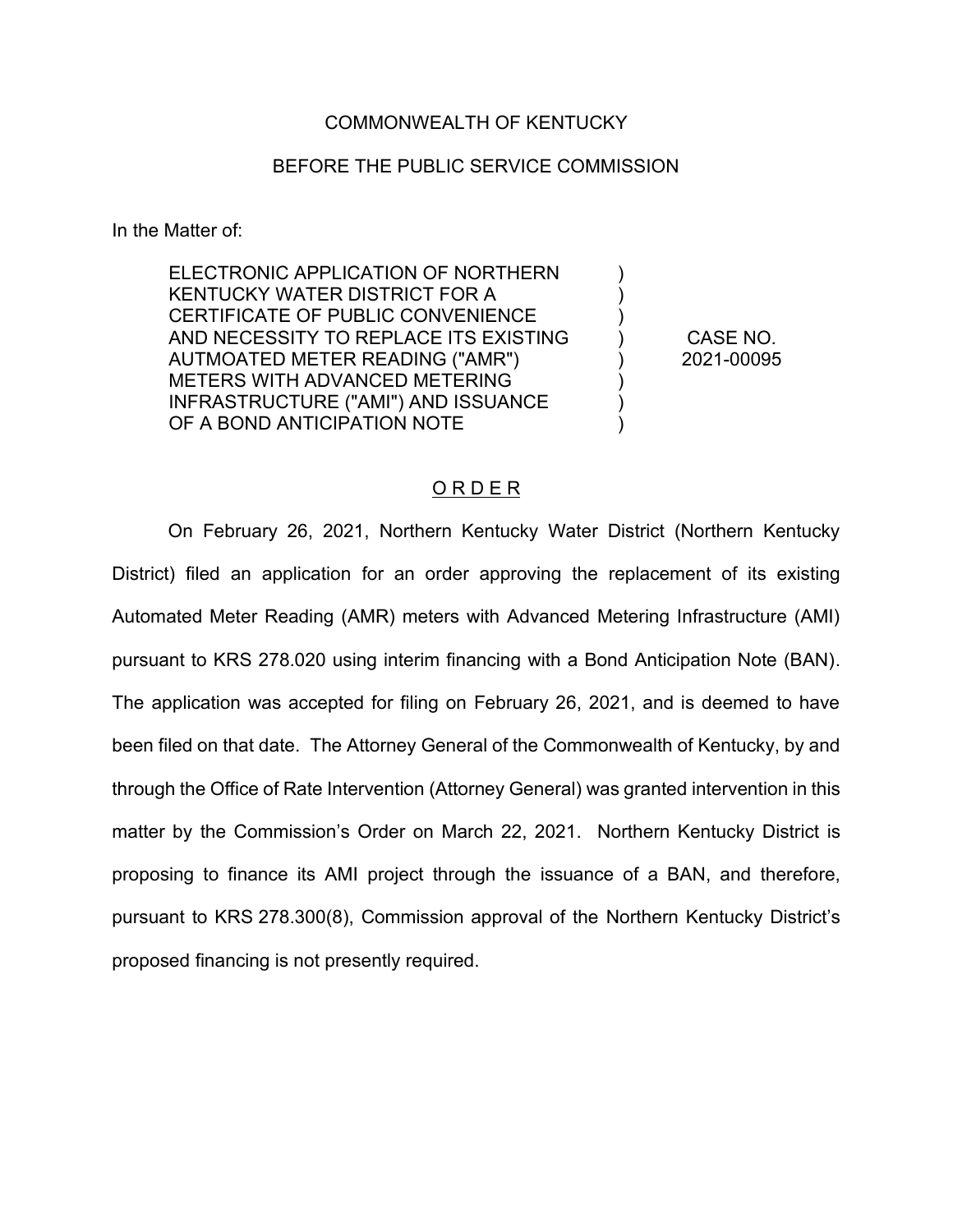### COMMONWEALTH OF KENTUCKY

## BEFORE THE PUBLIC SERVICE COMMISSION

In the Matter of:

ELECTRONIC APPLICATION OF NORTHERN KENTUCKY WATER DISTRICT FOR A CERTIFICATE OF PUBLIC CONVENIENCE AND NECESSITY TO REPLACE ITS EXISTING AUTMOATED METER READING ("AMR") METERS WITH ADVANCED METERING INFRASTRUCTURE ("AMI") AND ISSUANCE OF A BOND ANTICIPATION NOTE

CASE NO. 2021-00095

 $\lambda$ ) ) ) ) ) ) )

#### O R D E R

On February 26, 2021, Northern Kentucky Water District (Northern Kentucky District) filed an application for an order approving the replacement of its existing Automated Meter Reading (AMR) meters with Advanced Metering Infrastructure (AMI) pursuant to KRS 278.020 using interim financing with a Bond Anticipation Note (BAN). The application was accepted for filing on February 26, 2021, and is deemed to have been filed on that date. The Attorney General of the Commonwealth of Kentucky, by and through the Office of Rate Intervention (Attorney General) was granted intervention in this matter by the Commission's Order on March 22, 2021. Northern Kentucky District is proposing to finance its AMI project through the issuance of a BAN, and therefore, pursuant to KRS 278.300(8), Commission approval of the Northern Kentucky District's proposed financing is not presently required.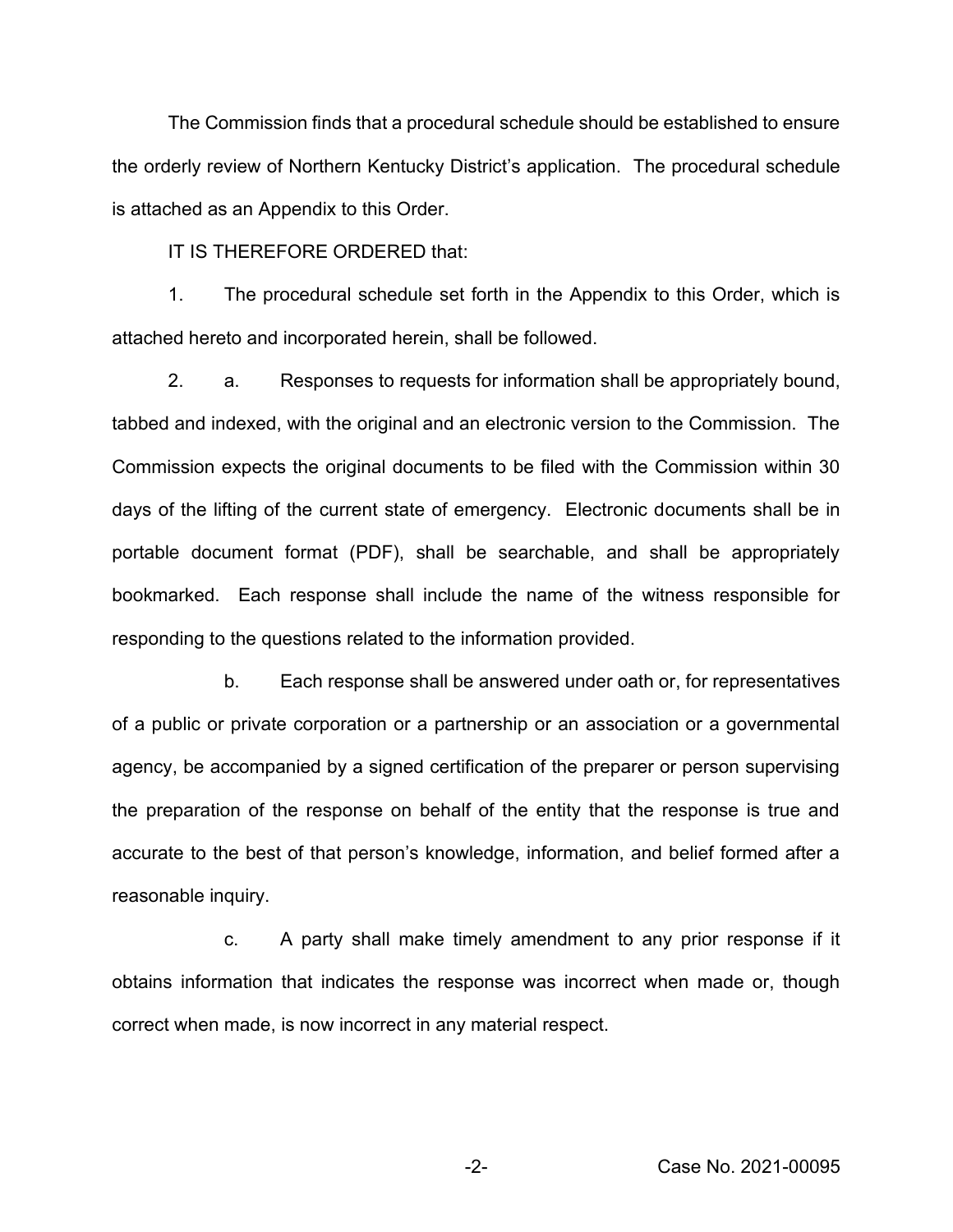The Commission finds that a procedural schedule should be established to ensure the orderly review of Northern Kentucky District's application. The procedural schedule is attached as an Appendix to this Order.

IT IS THEREFORE ORDERED that:

1. The procedural schedule set forth in the Appendix to this Order, which is attached hereto and incorporated herein, shall be followed.

2. a. Responses to requests for information shall be appropriately bound, tabbed and indexed, with the original and an electronic version to the Commission. The Commission expects the original documents to be filed with the Commission within 30 days of the lifting of the current state of emergency. Electronic documents shall be in portable document format (PDF), shall be searchable, and shall be appropriately bookmarked. Each response shall include the name of the witness responsible for responding to the questions related to the information provided.

b. Each response shall be answered under oath or, for representatives of a public or private corporation or a partnership or an association or a governmental agency, be accompanied by a signed certification of the preparer or person supervising the preparation of the response on behalf of the entity that the response is true and accurate to the best of that person's knowledge, information, and belief formed after a reasonable inquiry.

c. A party shall make timely amendment to any prior response if it obtains information that indicates the response was incorrect when made or, though correct when made, is now incorrect in any material respect.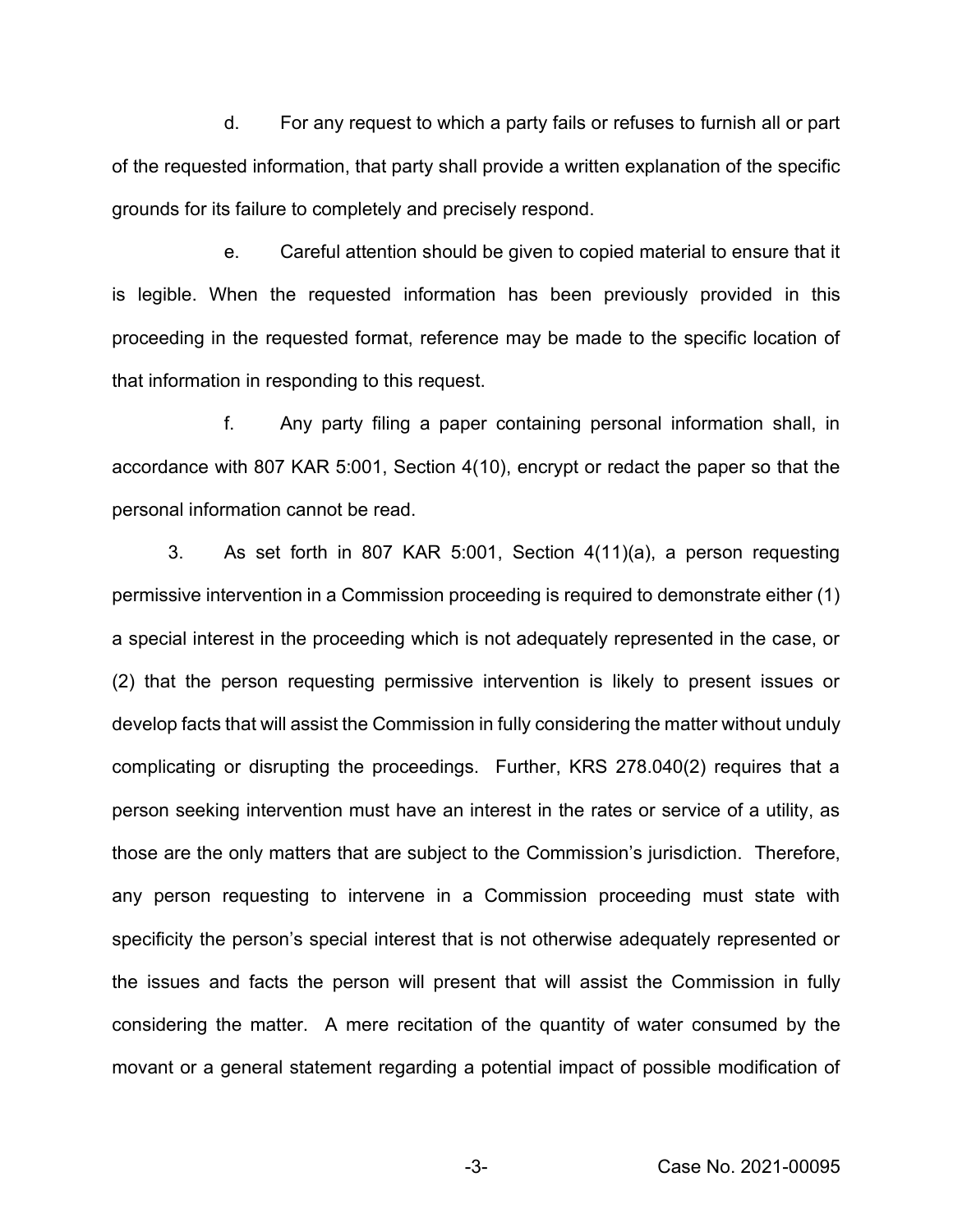d. For any request to which a party fails or refuses to furnish all or part of the requested information, that party shall provide a written explanation of the specific grounds for its failure to completely and precisely respond.

e. Careful attention should be given to copied material to ensure that it is legible. When the requested information has been previously provided in this proceeding in the requested format, reference may be made to the specific location of that information in responding to this request.

f. Any party filing a paper containing personal information shall, in accordance with 807 KAR 5:001, Section 4(10), encrypt or redact the paper so that the personal information cannot be read.

3. As set forth in 807 KAR 5:001, Section 4(11)(a), a person requesting permissive intervention in a Commission proceeding is required to demonstrate either (1) a special interest in the proceeding which is not adequately represented in the case, or (2) that the person requesting permissive intervention is likely to present issues or develop facts that will assist the Commission in fully considering the matter without unduly complicating or disrupting the proceedings. Further, KRS 278.040(2) requires that a person seeking intervention must have an interest in the rates or service of a utility, as those are the only matters that are subject to the Commission's jurisdiction. Therefore, any person requesting to intervene in a Commission proceeding must state with specificity the person's special interest that is not otherwise adequately represented or the issues and facts the person will present that will assist the Commission in fully considering the matter. A mere recitation of the quantity of water consumed by the movant or a general statement regarding a potential impact of possible modification of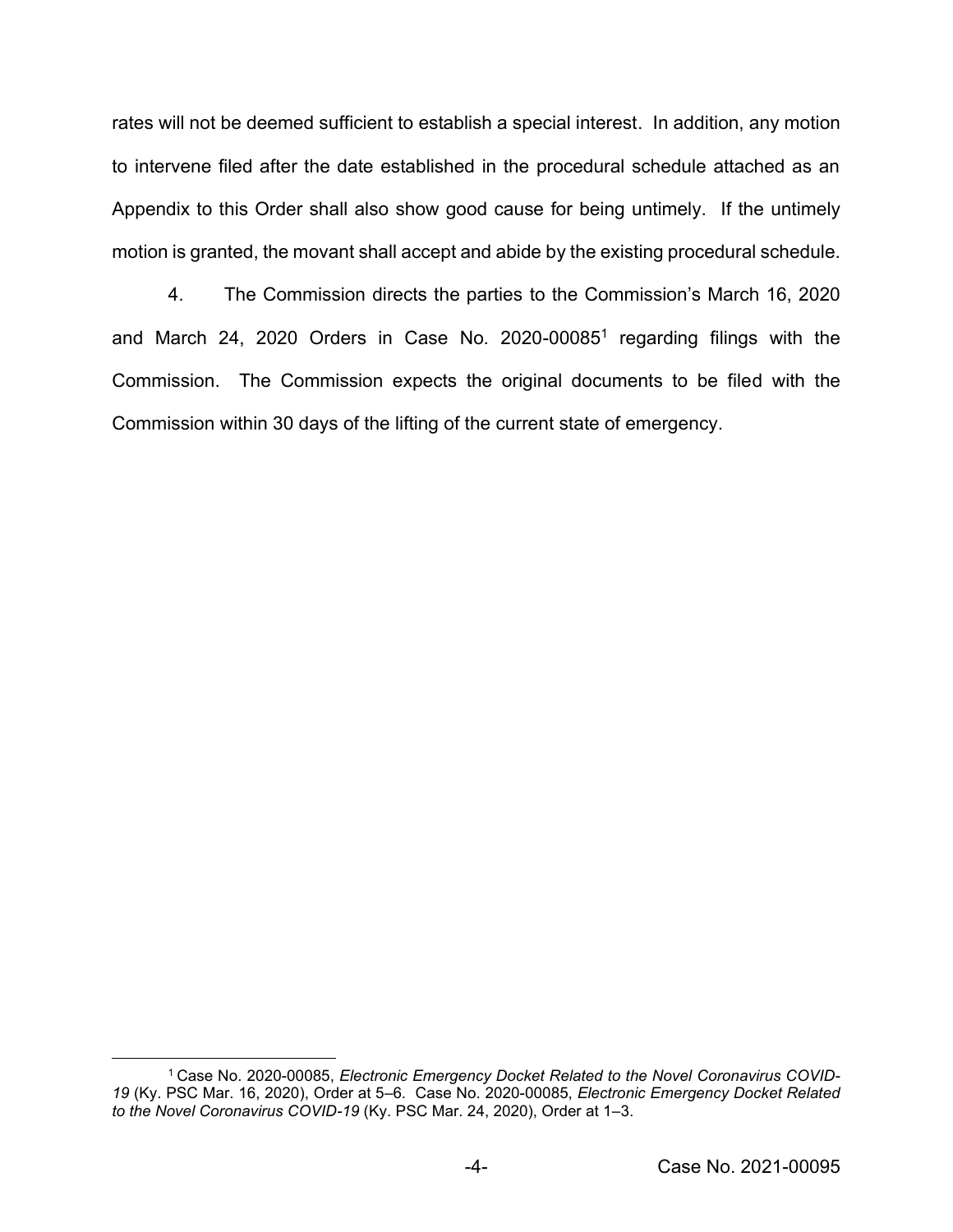rates will not be deemed sufficient to establish a special interest. In addition, any motion to intervene filed after the date established in the procedural schedule attached as an Appendix to this Order shall also show good cause for being untimely. If the untimely motion is granted, the movant shall accept and abide by the existing procedural schedule.

4. The Commission directs the parties to the Commission's March 16, 2020 and March 24, 2020 Orders in Case No. 2020-00085<sup>1</sup> regarding filings with the Commission. The Commission expects the original documents to be filed with the Commission within 30 days of the lifting of the current state of emergency.

<sup>1</sup> Case No. 2020-00085, *Electronic Emergency Docket Related to the Novel Coronavirus COVID-19* (Ky. PSC Mar. 16, 2020), Order at 5–6. Case No. 2020-00085, *Electronic Emergency Docket Related to the Novel Coronavirus COVID-19* (Ky. PSC Mar. 24, 2020), Order at 1–3.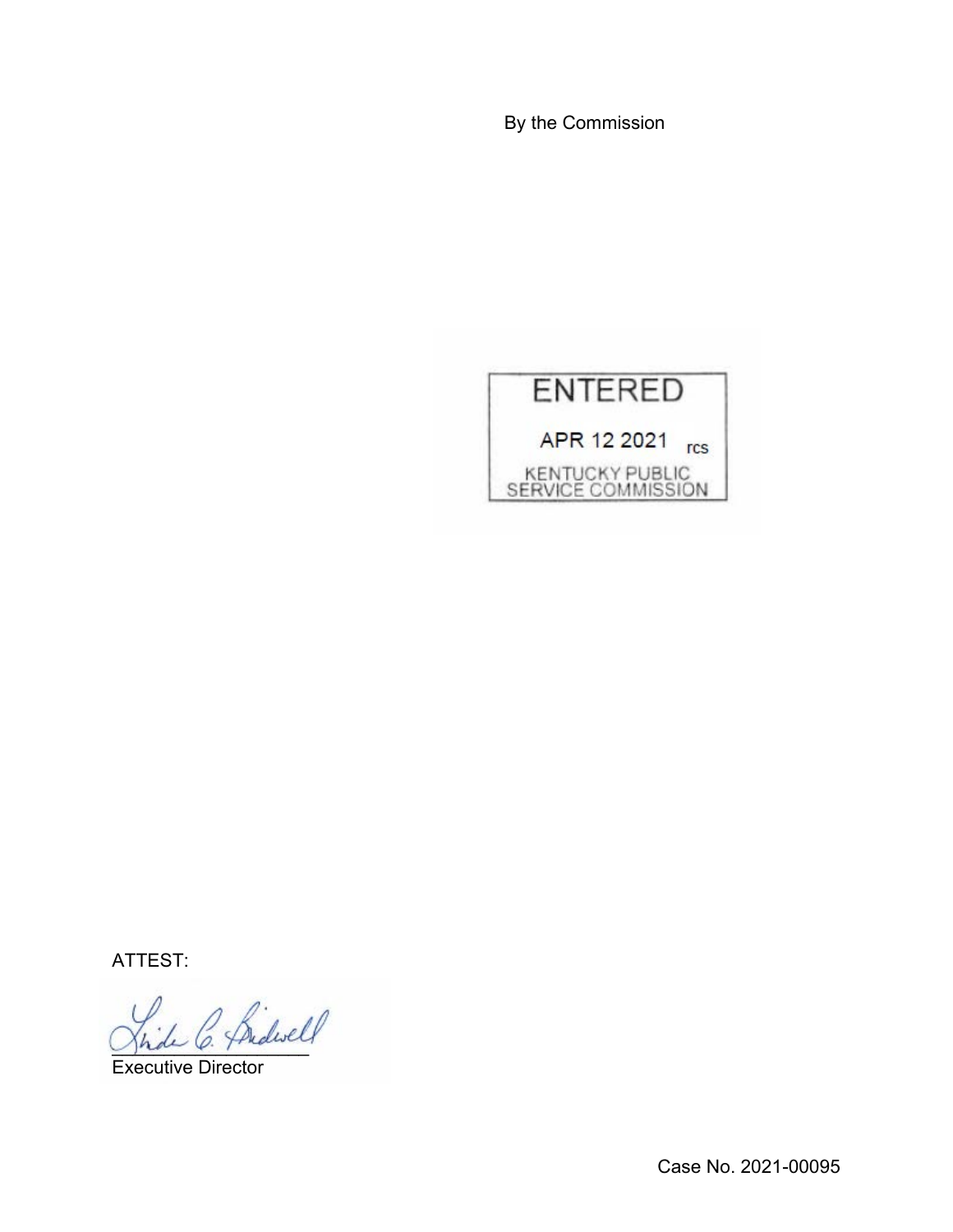By the Commission



ATTEST:

)<br>de C. Pridwell

Executive Director

Case No. 2021-00095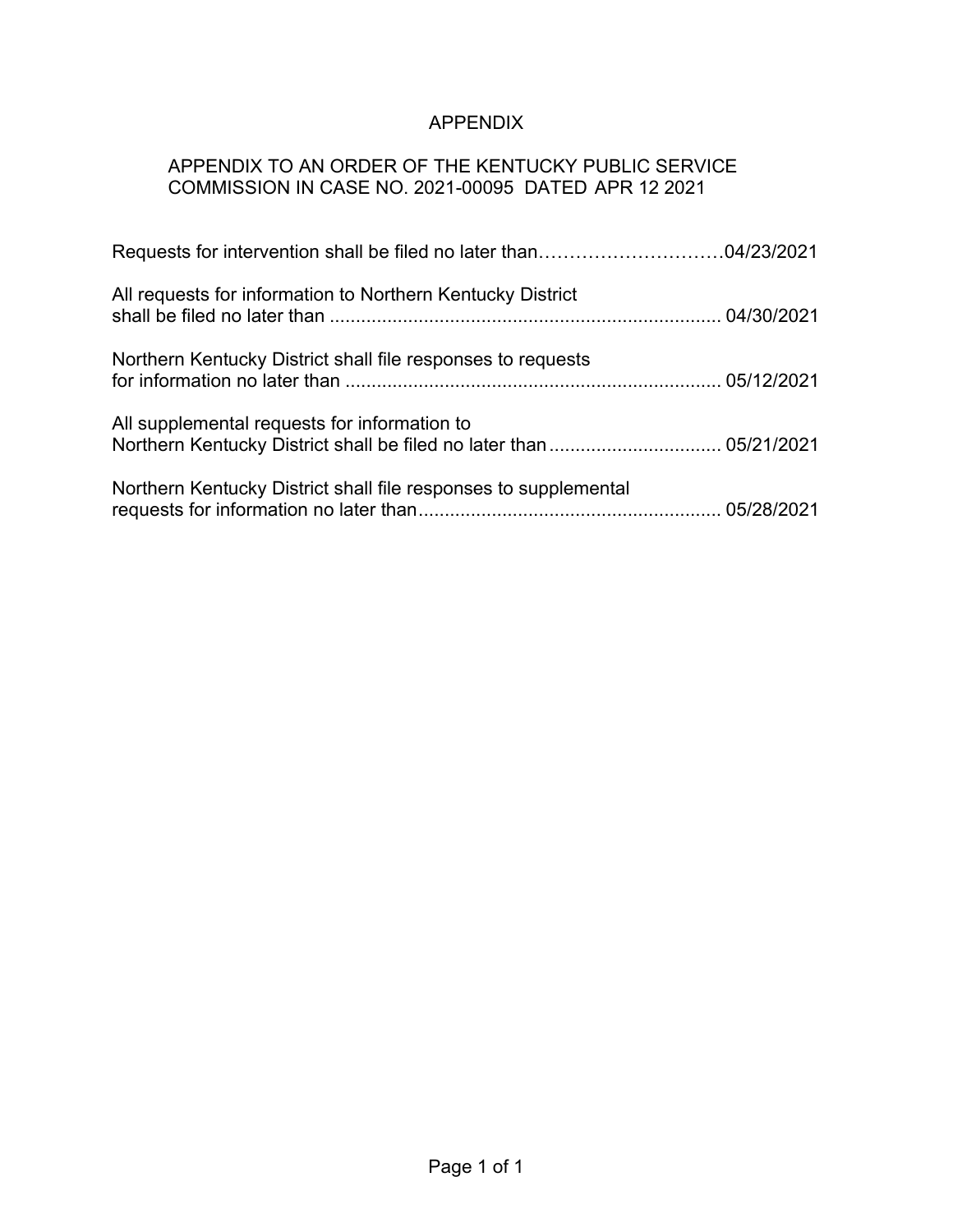# APPENDIX

## APPENDIX TO AN ORDER OF THE KENTUCKY PUBLIC SERVICE COMMISSION IN CASE NO. 2021-00095 DATED APR 12 2021

| All requests for information to Northern Kentucky District      |  |
|-----------------------------------------------------------------|--|
| Northern Kentucky District shall file responses to requests     |  |
| All supplemental requests for information to                    |  |
| Northern Kentucky District shall file responses to supplemental |  |